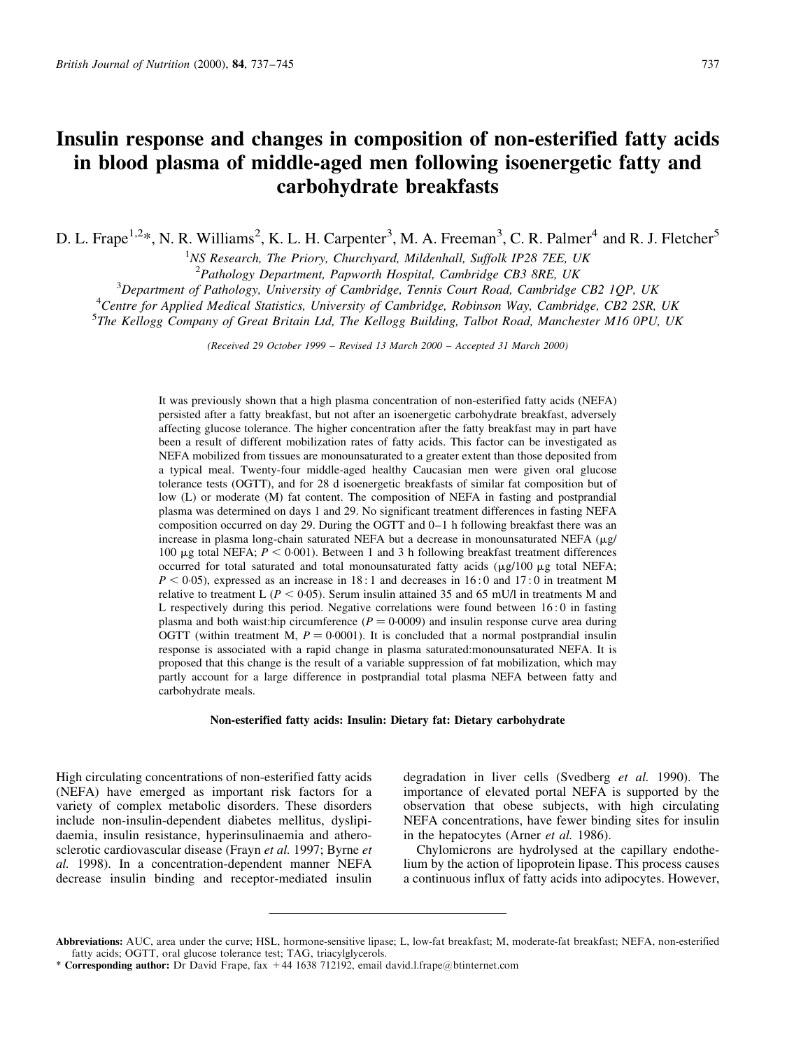# Insulin response and changes in composition of non-esterified fatty acids in blood plasma of middle-aged men following isoenergetic fatty and carbohydrate breakfasts

D. L. Frape<sup>1,2</sup>\*, N. R. Williams<sup>2</sup>, K. L. H. Carpenter<sup>3</sup>, M. A. Freeman<sup>3</sup>, C. R. Palmer<sup>4</sup> and R. J. Fletcher<sup>5</sup>

<sup>1</sup>NS Research, The Priory, Churchyard, Mildenhall, Suffolk IP28 7EE, UK

 $2$ Pathology Department, Papworth Hospital, Cambridge CB3 8RE, UK

<sup>3</sup>Department of Pathology, University of Cambridge, Tennis Court Road, Cambridge CB2 1QP, UK<br><sup>4</sup>Centre for Applied Medical Statistics, University of Cambridge, Pobinson Way, Cambridge, CB2, 2SP

<sup>4</sup> Centre for Applied Medical Statistics, University of Cambridge, Robinson Way, Cambridge, CB2 2SR, UK

<sup>5</sup>The Kellogg Company of Great Britain Ltd, The Kellogg Building, Talbot Road, Manchester M16 0PU, UK

 $(Received 29 October 1999 - Revised 13 March 2000 - Accepted 31 March 2000)$ 

It was previously shown that a high plasma concentration of non-esterified fatty acids (NEFA) persisted after a fatty breakfast, but not after an isoenergetic carbohydrate breakfast, adversely affecting glucose tolerance. The higher concentration after the fatty breakfast may in part have been a result of different mobilization rates of fatty acids. This factor can be investigated as NEFA mobilized from tissues are monounsaturated to a greater extent than those deposited from a typical meal. Twenty-four middle-aged healthy Caucasian men were given oral glucose tolerance tests (OGTT), and for 28 d isoenergetic breakfasts of similar fat composition but of low (L) or moderate (M) fat content. The composition of NEFA in fasting and postprandial plasma was determined on days 1 and 29. No significant treatment differences in fasting NEFA composition occurred on day 29. During the OGTT and  $0-1$  h following breakfast there was an increase in plasma long-chain saturated NEFA but a decrease in monounsaturated NEFA  $(\mu g)$ 100  $\mu$ g total NEFA;  $P < 0.001$ ). Between 1 and 3 h following breakfast treatment differences occurred for total saturated and total monounsaturated fatty acids  $(\mu g/100 \mu g)$  total NEFA;  $P < 0.05$ ), expressed as an increase in 18 : 1 and decreases in 16 : 0 and 17 : 0 in treatment M relative to treatment L ( $P < 0.05$ ). Serum insulin attained 35 and 65 mU/l in treatments M and L respectively during this period. Negative correlations were found between 16 : 0 in fasting plasma and both waist:hip circumference  $(P = 0.0009)$  and insulin response curve area during OGTT (within treatment M,  $P = 0.0001$ ). It is concluded that a normal postprandial insulin response is associated with a rapid change in plasma saturated:monounsaturated NEFA. It is proposed that this change is the result of a variable suppression of fat mobilization, which may partly account for a large difference in postprandial total plasma NEFA between fatty and carbohydrate meals.

# Non-esterified fatty acids: Insulin: Dietary fat: Dietary carbohydrate

High circulating concentrations of non-esterified fatty acids (NEFA) have emerged as important risk factors for a variety of complex metabolic disorders. These disorders include non-insulin-dependent diabetes mellitus, dyslipidaemia, insulin resistance, hyperinsulinaemia and atherosclerotic cardiovascular disease (Frayn et al. 1997; Byrne et al. 1998). In a concentration-dependent manner NEFA decrease insulin binding and receptor-mediated insulin

degradation in liver cells (Svedberg et al. 1990). The importance of elevated portal NEFA is supported by the observation that obese subjects, with high circulating NEFA concentrations, have fewer binding sites for insulin in the hepatocytes (Arner et al. 1986).

Chylomicrons are hydrolysed at the capillary endothelium by the action of lipoprotein lipase. This process causes a continuous influx of fatty acids into adipocytes. However,

Abbreviations: AUC, area under the curve; HSL, hormone-sensitive lipase; L, low-fat breakfast; M, moderate-fat breakfast; NEFA, non-esterified fatty acids; OGTT, oral glucose tolerance test; TAG, triacylglycerols.

<sup>\*</sup> Corresponding author: Dr David Frape, fax  $+44$  1638 712192, email david.l.frape@btinternet.com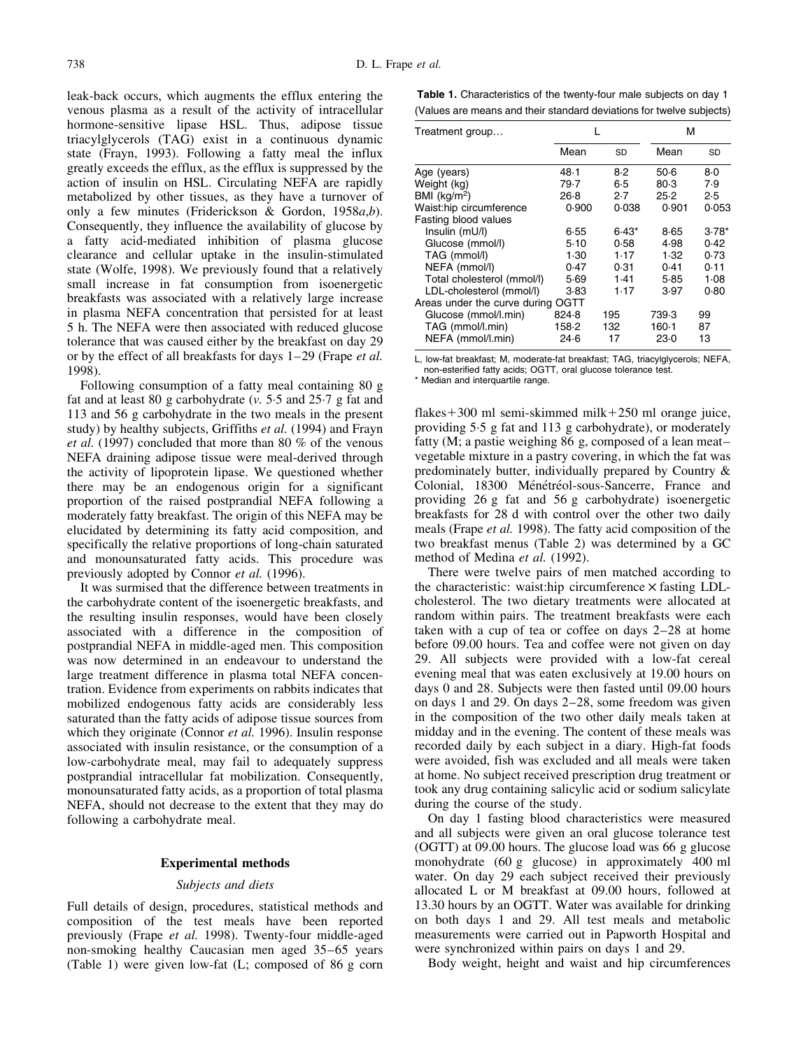<span id="page-1-0"></span>leak-back occurs, which augments the efflux entering the venous plasma as a result of the activity of intracellular hormone-sensitive lipase HSL. Thus, adipose tissue triacylglycerols (TAG) exist in a continuous dynamic state (Frayn, 1993). Following a fatty meal the influx greatly exceeds the efflux, as the efflux is suppressed by the action of insulin on HSL. Circulating NEFA are rapidly metabolized by other tissues, as they have a turnover of only a few minutes (Friderickson & Gordon, 1958a,b). Consequently, they influence the availability of glucose by a fatty acid-mediated inhibition of plasma glucose clearance and cellular uptake in the insulin-stimulated state (Wolfe, 1998). We previously found that a relatively small increase in fat consumption from isoenergetic breakfasts was associated with a relatively large increase in plasma NEFA concentration that persisted for at least 5 h. The NEFA were then associated with reduced glucose tolerance that was caused either by the breakfast on day 29 or by the effect of all breakfasts for days  $1-29$  (Frape et al. 1998).

Following consumption of a fatty meal containing 80 g fat and at least 80 g carbohydrate  $(v. 5.5$  and  $25.7$  g fat and 113 and 56 g carbohydrate in the two meals in the present study) by healthy subjects, Griffiths et al. (1994) and Frayn et al. (1997) concluded that more than 80 % of the venous NEFA draining adipose tissue were meal-derived through the activity of lipoprotein lipase. We questioned whether there may be an endogenous origin for a significant proportion of the raised postprandial NEFA following a moderately fatty breakfast. The origin of this NEFA may be elucidated by determining its fatty acid composition, and specifically the relative proportions of long-chain saturated and monounsaturated fatty acids. This procedure was previously adopted by Connor et al. (1996).

It was surmised that the difference between treatments in the carbohydrate content of the isoenergetic breakfasts, and the resulting insulin responses, would have been closely associated with a difference in the composition of postprandial NEFA in middle-aged men. This composition was now determined in an endeavour to understand the large treatment difference in plasma total NEFA concentration. Evidence from experiments on rabbits indicates that mobilized endogenous fatty acids are considerably less saturated than the fatty acids of adipose tissue sources from which they originate (Connor et al. 1996). Insulin response associated with insulin resistance, or the consumption of a low-carbohydrate meal, may fail to adequately suppress postprandial intracellular fat mobilization. Consequently, monounsaturated fatty acids, as a proportion of total plasma NEFA, should not decrease to the extent that they may do following a carbohydrate meal.

# Experimental methods

# Subjects and diets

Full details of design, procedures, statistical methods and composition of the test meals have been reported previously (Frape et al. 1998). Twenty-four middle-aged non-smoking healthy Caucasian men aged 35–65 years (Table 1) were given low-fat (L; composed of 86 g corn

| Table 1. Characteristics of the twenty-four male subjects on day 1   |  |  |
|----------------------------------------------------------------------|--|--|
| (Values are means and their standard deviations for twelve subjects) |  |  |

| Treatment group                   |       |           | м       |           |
|-----------------------------------|-------|-----------|---------|-----------|
|                                   | Mean  | <b>SD</b> | Mean    | <b>SD</b> |
| Age (years)                       | 48.1  | 8.2       | 50.6    | 8.0       |
| Weight (kg)                       | 79.7  | 6.5       | 80.3    | 7.9       |
| BMI ( $kg/m2$ )                   | 26.8  | 2.7       | 25.2    | 2.5       |
| Waist:hip circumference           | 0.900 | 0.038     | 0.901   | 0.053     |
| Fasting blood values              |       |           |         |           |
| Insulin (mU/l)                    | 6.55  | $6.43*$   | 8.65    | $3.78*$   |
| Glucose (mmol/l)                  | 5.10  | 0.58      | 4.98    | 0.42      |
| TAG (mmol/l)                      | 1.30  | 1.17      | 1.32    | 0.73      |
| NEFA (mmol/l)                     | 0.47  | 0.31      | 0.41    | 0.11      |
| Total cholesterol (mmol/l)        | 5.69  | 1.41      | 5.85    | 1.08      |
| LDL-cholesterol (mmol/l)          | 3.83  | 1.17      | 3.97    | 0.80      |
| Areas under the curve during OGTT |       |           |         |           |
| Glucose (mmol/l.min)              | 824.8 | 195       | 739.3   | 99        |
| TAG (mmol/l.min)                  | 158-2 | 132       | $160-1$ | 87        |
| NEFA (mmol/l.min)                 | 24.6  | 17        | 23.0    | 13        |

L, low-fat breakfast; M, moderate-fat breakfast; TAG, triacylglycerols; NEFA, non-esterified fatty acids; OGTT, oral glucose tolerance test.

\* Median and interquartile range.

flakes $+300$  ml semi-skimmed milk $+250$  ml orange juice, providing 5.5 g fat and 113 g carbohydrate), or moderately fatty (M; a pastie weighing 86 g, composed of a lean meatvegetable mixture in a pastry covering, in which the fat was predominately butter, individually prepared by Country & Colonial, 18300 Ménétréol-sous-Sancerre, France and providing 26 g fat and 56 g carbohydrate) isoenergetic breakfasts for 28 d with control over the other two daily meals (Frape et al. 1998). The fatty acid composition of the two breakfast menu[s \(Table 2\)](#page-2-0) was determined by a GC method of Medina et al. (1992).

There were twelve pairs of men matched according to the characteristic: waist:hip circumference  $\times$  fasting LDLcholesterol. The two dietary treatments were allocated at random within pairs. The treatment breakfasts were each taken with a cup of tea or coffee on days  $2-28$  at home before 09.00 hours. Tea and coffee were not given on day 29. All subjects were provided with a low-fat cereal evening meal that was eaten exclusively at 19.00 hours on days 0 and 28. Subjects were then fasted until 09.00 hours on days 1 and 29. On days  $2-28$ , some freedom was given in the composition of the two other daily meals taken at midday and in the evening. The content of these meals was recorded daily by each subject in a diary. High-fat foods were avoided, fish was excluded and all meals were taken at home. No subject received prescription drug treatment or took any drug containing salicylic acid or sodium salicylate during the course of the study.

On day 1 fasting blood characteristics were measured and all subjects were given an oral glucose tolerance test (OGTT) at 09.00 hours. The glucose load was 66 g glucose monohydrate (60 g glucose) in approximately 400 ml water. On day 29 each subject received their previously allocated L or M breakfast at 09.00 hours, followed at 13.30 hours by an OGTT. Water was available for drinking on both days 1 and 29. All test meals and metabolic measurements were carried out in Papworth Hospital and were synchronized within pairs on days 1 and 29.

Body weight, height and waist and hip circumferences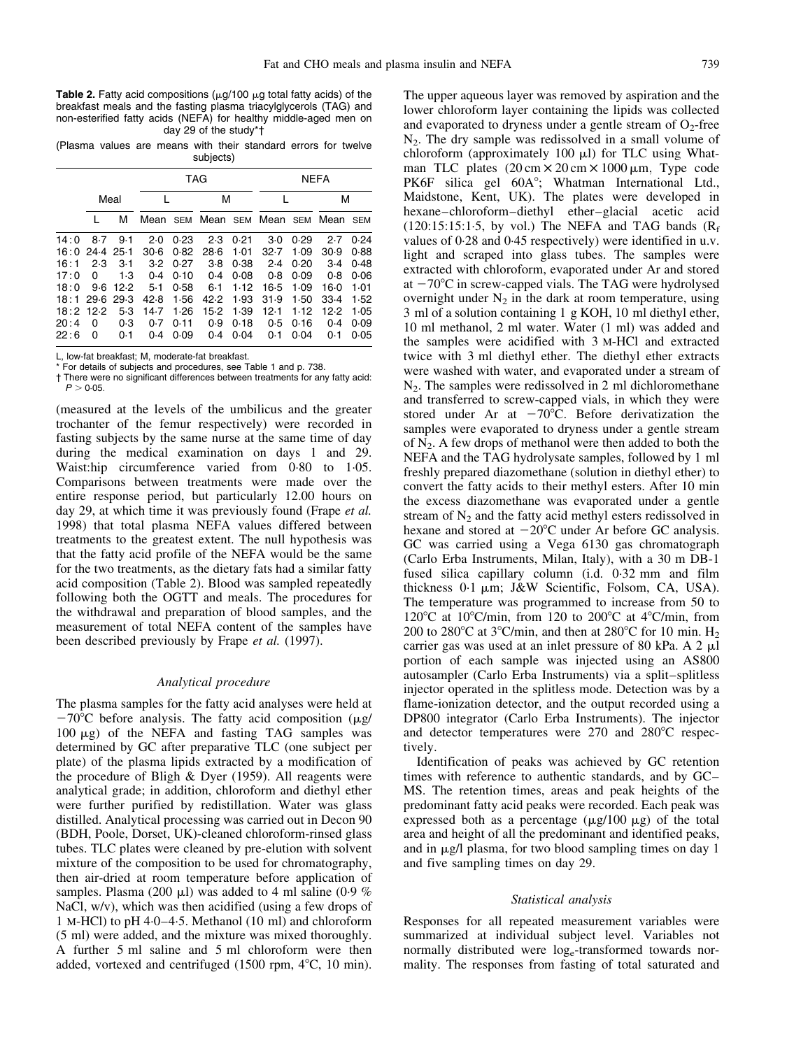<span id="page-2-0"></span>**Table 2.** Fatty acid compositions ( $\mu$ g/100  $\mu$ g total fatty acids) of the breakfast meals and the fasting plasma triacylglycerols (TAG) and non-esterified fatty acids (NEFA) for healthy middle-aged men on day 29 of the study\*†

(Plasma values are means with their standard errors for twelve subjects)

|      |           |      |          |      | TAG   |      |                   |      | <b>NEFA</b> |      |
|------|-----------|------|----------|------|-------|------|-------------------|------|-------------|------|
|      |           | Meal |          |      | М     |      |                   |      | М           |      |
|      |           | м    | Mean SEM |      |       |      | Mean SEM Mean SEM |      | Mean        | SEM  |
| 14:0 | 8.7       | 9.1  | 2.0      | 0.23 | 2.3   | 0.21 | $3-0$             | 0.29 | 2.7         | 0.24 |
| 16:0 | 24.4 25.1 |      | $30-6$   | 0.82 | 28.6  | 1.01 | 32.7              | 1.09 | 30.9        | 0.88 |
| 16:1 | 2.3       | 3.1  | 3.2      | 0.27 | $3-8$ | 0.38 | 2.4               | 0.20 | $3-4$       | 0.48 |
| 17:0 | 0         | 1.3  | 0.4      | 0.10 | 0.4   | 0.08 | 0.8               | 0.09 | 0.8         | 0.06 |
| 18:0 | 9.6       | 12.2 | $5-1$    | 0.58 | 6.1   | 1.12 | 16.5              | 1.09 | $16-0$      | 1.01 |
| 18:1 | 29.6      | 29.3 | 42.8     | 1.56 | 42.2  | 1.93 | 31.9              | 1.50 | 33.4        | 1.52 |
| 18:2 | 12.2      | 5.3  | 14.7     | 1.26 | 15.2  | 1.39 | 12.1              | 1.12 | 12.2        | 1.05 |
| 20:4 | 0         | 0.3  | 0.7      | 0.11 | 0.9   | 0.18 | 0.5               | 0.16 | 0.4         | 0.09 |
| 22:6 | O         | 0.1  | 0.4      | 0.09 | 0.4   | 0.04 | 0.1               | 0.04 | 0.1         | 0.05 |

L, low-fat breakfast; M, moderate-fat breakfast.

\* For details of subjects and procedures, se[e Table 1 a](#page-1-0)nd p. 738.

 $\dagger$  There were no significant differences between treatments for any fatty acid:  $P > 0.05$ .

(measured at the levels of the umbilicus and the greater trochanter of the femur respectively) were recorded in fasting subjects by the same nurse at the same time of day during the medical examination on days 1 and 29. Waist:hip circumference varied from 0.80 to 1.05. Comparisons between treatments were made over the entire response period, but particularly 12.00 hours on day 29, at which time it was previously found (Frape *et al.*) 1998) that total plasma NEFA values differed between treatments to the greatest extent. The null hypothesis was that the fatty acid profile of the NEFA would be the same for the two treatments, as the dietary fats had a similar fatty acid composition (Table 2). Blood was sampled repeatedly following both the OGTT and meals. The procedures for the withdrawal and preparation of blood samples, and the measurement of total NEFA content of the samples have been described previously by Frape et al. (1997).

# Analytical procedure

The plasma samples for the fatty acid analyses were held at  $-70^{\circ}$ C before analysis. The fatty acid composition ( $\mu$ g/ 100  $\mu$ g) of the NEFA and fasting TAG samples was determined by GC after preparative TLC (one subject per plate) of the plasma lipids extracted by a modification of the procedure of Bligh & Dyer (1959). All reagents were analytical grade; in addition, chloroform and diethyl ether were further purified by redistillation. Water was glass distilled. Analytical processing was carried out in Decon 90 (BDH, Poole, Dorset, UK)-cleaned chloroform-rinsed glass tubes. TLC plates were cleaned by pre-elution with solvent mixture of the composition to be used for chromatography, then air-dried at room temperature before application of samples. Plasma (200  $\mu$ l) was added to 4 ml saline (0.9 %) NaCl, w/v), which was then acidified (using a few drops of 1 M-HCl) to pH  $4.0-4.5$ . Methanol (10 ml) and chloroform (5 ml) were added, and the mixture was mixed thoroughly. A further 5 ml saline and 5 ml chloroform were then added, vortexed and centrifuged (1500 rpm,  $4^{\circ}$ C, 10 min).

The upper aqueous layer was removed by aspiration and the lower chloroform layer containing the lipids was collected and evaporated to dryness under a gentle stream of  $O_2$ -free  $N<sub>2</sub>$ . The dry sample was redissolved in a small volume of chloroform (approximately 100  $\mu$ I) for TLC using Whatman TLC plates  $(20 \text{ cm} \times 20 \text{ cm} \times 1000 \text{ }\mu\text{m})$ , Type code PK6F silica gel 60A°; Whatman International Ltd., Maidstone, Kent, UK). The plates were developed in hexane-chloroform-diethyl ether-glacial acetic acid  $(120:15:15:1.5, \text{ by vol.})$  The NEFA and TAG bands  $(R_f)$ values of 0.28 and 0.45 respectively) were identified in u.v. light and scraped into glass tubes. The samples were extracted with chloroform, evaporated under Ar and stored at  $-70^{\circ}$ C in screw-capped vials. The TAG were hydrolysed overnight under  $N_2$  in the dark at room temperature, using 3 ml of a solution containing 1 g KOH, 10 ml diethyl ether, 10 ml methanol, 2 ml water. Water (1 ml) was added and the samples were acidified with 3 M-HCl and extracted twice with 3 ml diethyl ether. The diethyl ether extracts were washed with water, and evaporated under a stream of  $N_2$ . The samples were redissolved in 2 ml dichloromethane and transferred to screw-capped vials, in which they were stored under Ar at  $-70^{\circ}$ C. Before derivatization the samples were evaporated to dryness under a gentle stream of  $N<sub>2</sub>$ . A few drops of methanol were then added to both the NEFA and the TAG hydrolysate samples, followed by 1 ml freshly prepared diazomethane (solution in diethyl ether) to convert the fatty acids to their methyl esters. After 10 min the excess diazomethane was evaporated under a gentle stream of  $N<sub>2</sub>$  and the fatty acid methyl esters redissolved in hexane and stored at  $-20^{\circ}$ C under Ar before GC analysis. GC was carried using a Vega 6130 gas chromatograph (Carlo Erba Instruments, Milan, Italy), with a 30 m DB-1 fused silica capillary column (i.d. 0.32 mm and film thickness 0.1 µm; J&W Scientific, Folsom, CA, USA). The temperature was programmed to increase from 50 to 120 $\rm{°C}$  at 10 $\rm{°C/min}$ , from 120 to 200 $\rm{°C}$  at 4 $\rm{°C/min}$ , from 200 to 280 $\degree$ C at 3 $\degree$ C/min, and then at 280 $\degree$ C for 10 min. H<sub>2</sub> carrier gas was used at an inlet pressure of 80 kPa. A 2  $\mu$ l portion of each sample was injected using an AS800 autosampler (Carlo Erba Instruments) via a split-splitless injector operated in the splitless mode. Detection was by a flame-ionization detector, and the output recorded using a DP800 integrator (Carlo Erba Instruments). The injector and detector temperatures were  $270$  and  $280^{\circ}$ C respectively.

Identification of peaks was achieved by GC retention times with reference to authentic standards, and by  $GC-$ MS. The retention times, areas and peak heights of the predominant fatty acid peaks were recorded. Each peak was expressed both as a percentage  $(\mu g/100 \mu g)$  of the total area and height of all the predominant and identified peaks, and in  $\mu$ g/l plasma, for two blood sampling times on day 1 and five sampling times on day 29.

# Statistical analysis

Responses for all repeated measurement variables were summarized at individual subject level. Variables not normally distributed were log<sub>e</sub>-transformed towards normality. The responses from fasting of total saturated and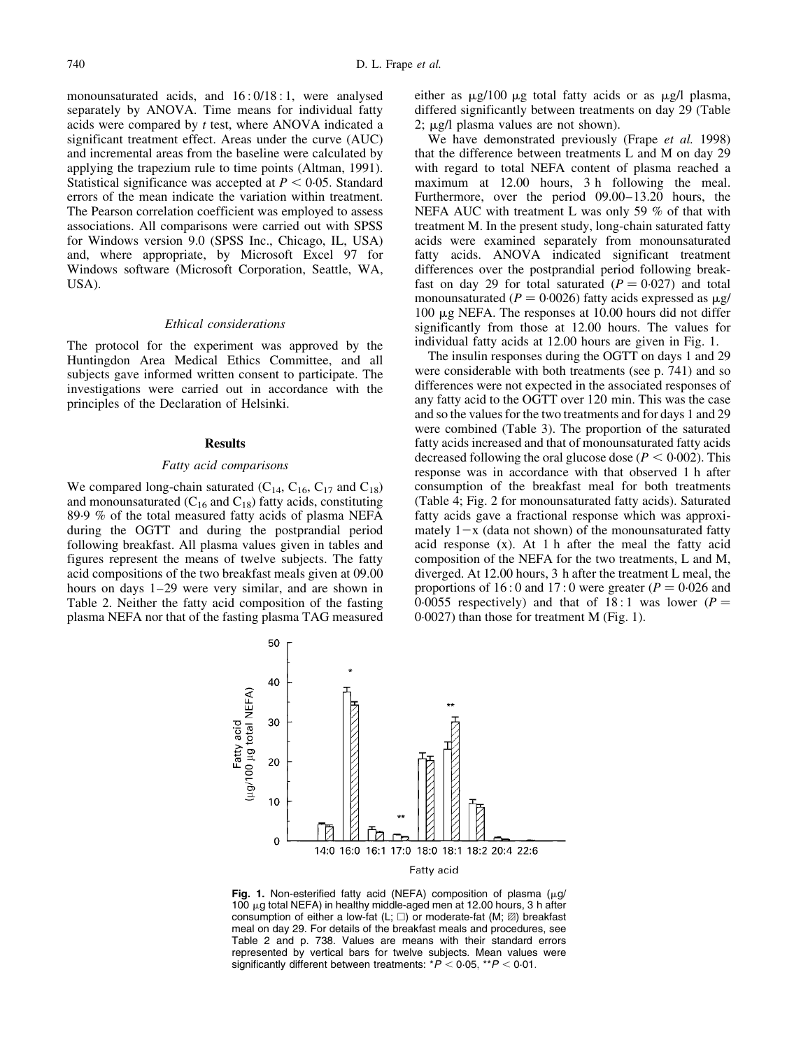<span id="page-3-0"></span>monounsaturated acids, and  $16:0/18:1$ , were analysed separately by ANOVA. Time means for individual fatty acids were compared by t test, where ANOVA indicated a significant treatment effect. Areas under the curve (AUC) and incremental areas from the baseline were calculated by applying the trapezium rule to time points (Altman, 1991). Statistical significance was accepted at  $P < 0.05$ . Standard errors of the mean indicate the variation within treatment. The Pearson correlation coefficient was employed to assess associations. All comparisons were carried out with SPSS for Windows version 9.0 (SPSS Inc., Chicago, IL, USA) and, where appropriate, by Microsoft Excel 97 for Windows software (Microsoft Corporation, Seattle, WA, USA).

#### Ethical considerations

The protocol for the experiment was approved by the Huntingdon Area Medical Ethics Committee, and all subjects gave informed written consent to participate. The investigations were carried out in accordance with the principles of the Declaration of Helsinki.

#### **Results**

# Fatty acid comparisons

We compared long-chain saturated  $(C_{14}, C_{16}, C_{17}$  and  $C_{18}$ ) and monounsaturated  $(C_{16}$  and  $C_{18}$ ) fatty acids, constituting 89.9 % of the total measured fatty acids of plasma NEFA during the OGTT and during the postprandial period following breakfast. All plasma values given in tables and figures represent the means of twelve subjects. The fatty acid compositions of the two breakfast meals given at 09.00 hours on days  $1-29$  were very similar, and are shown in [Table 2.](#page-2-0) Neither the fatty acid composition of the fasting plasma NEFA nor that of the fasting plasma TAG measured either as  $\mu$ g/100  $\mu$ g total fatty acids or as  $\mu$ g/l plasma, differed significantly between treatments on day 29 [\(Table](#page-2-0)  $2$ ;  $\mu$ g/l plasma values are not shown).

We have demonstrated previously (Frape et al. 1998) that the difference between treatments L and M on day 29 with regard to total NEFA content of plasma reached a maximum at 12.00 hours, 3 h following the meal. Furthermore, over the period  $09.00-13.20$  hours, the NEFA AUC with treatment L was only 59 % of that with treatment M. In the present study, long-chain saturated fatty acids were examined separately from monounsaturated fatty acids. ANOVA indicated significant treatment differences over the postprandial period following breakfast on day 29 for total saturated  $(P = 0.027)$  and total monounsaturated ( $P = 0.0026$ ) fatty acids expressed as  $\mu$ g/ 100  $\mu$ g NEFA. The responses at 10.00 hours did not differ significantly from those at 12.00 hours. The values for individual fatty acids at 12.00 hours are given in Fig. 1.

The insulin responses during the OGTT on days 1 and 29 were considerable with both treatments (see p. 741) and so differences were not expected in the associated responses of any fatty acid to the OGTT over 120 min. This was the case and so the values for the two treatments and for days 1 and 29 were combined [\(Table 3\). T](#page-4-0)he proportion of the saturated fatty acids increased and that of monounsaturated fatty acids decreased following the oral glucose dose  $(P < 0.002)$ . This response was in accordance with that observed 1 h after consumption of the breakfast meal for both treatments [\(Table 4;](#page-4-0) [Fig. 2 fo](#page-5-0)r monounsaturated fatty acids). Saturated fatty acids gave a fractional response which was approximately  $1-x$  (data not shown) of the monounsaturated fatty acid response (x). At 1 h after the meal the fatty acid composition of the NEFA for the two treatments, L and M, diverged. At 12.00 hours, 3 h after the treatment L meal, the proportions of 16:0 and 17:0 were greater  $(P = 0.026$  and 0.0055 respectively) and that of 18:1 was lower ( $P =$  $0.0027$ ) than those for treatment M (Fig. 1).



Fig. 1. Non-esterified fatty acid (NEFA) composition of plasma ( $\mu$ g/ 100 µg total NEFA) in healthy middle-aged men at 12.00 hours, 3 h after consumption of either a low-fat  $(L; \Box)$  or moderate-fat  $(M; \mathbb{Z})$  breakfast meal on day 29. For details of the breakfast meals and procedures, see [Table 2 a](#page-2-0)nd p. 738. Values are means with their standard errors represented by vertical bars for twelve subjects. Mean values were significantly different between treatments:  $*P < 0.05$ ,  $*P < 0.01$ .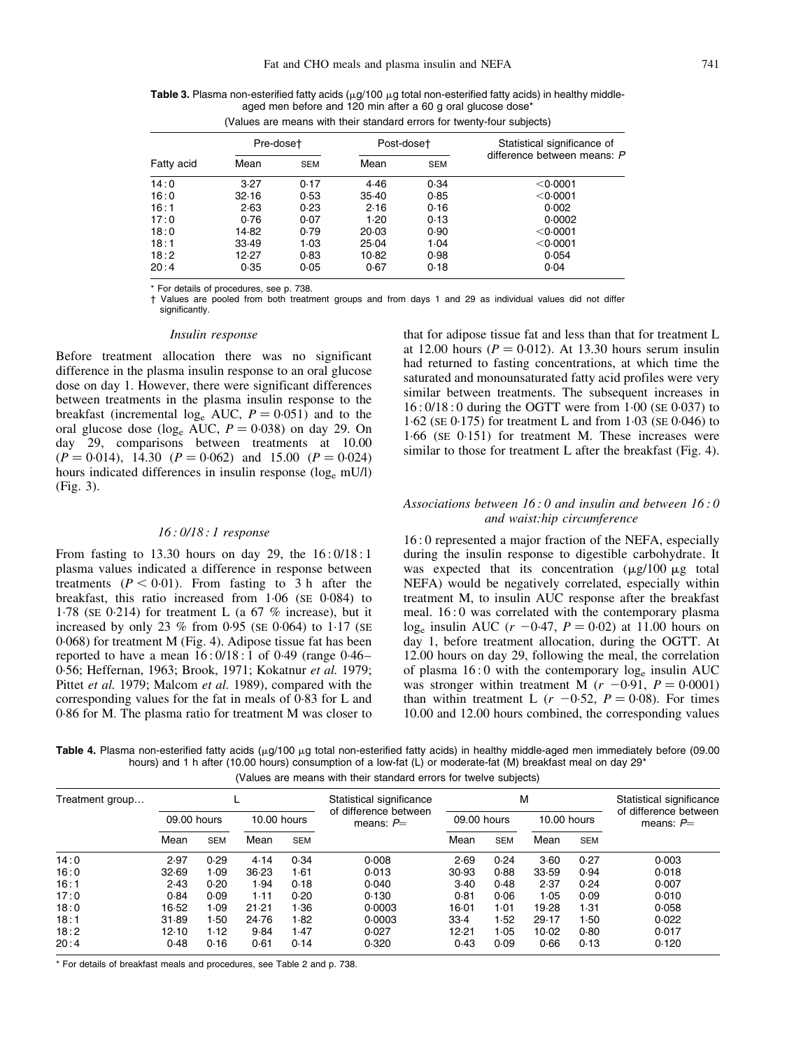<span id="page-4-0"></span>Table 3. Plasma non-esterified fatty acids  $(\mu q/100 \mu q)$  total non-esterified fatty acids) in healthy middleaged men before and 120 min after a 60 g oral glucose dose\*

(Values are means with their standard errors for twenty-four subjects)

|            | Pre-doset |            | Post-doset |            | Statistical significance of |  |
|------------|-----------|------------|------------|------------|-----------------------------|--|
| Fatty acid | Mean      | <b>SEM</b> | Mean       | <b>SEM</b> | difference between means: P |  |
| 14:0       | 3.27      | 0.17       | 4.46       | 0.34       | $<$ 0.0001                  |  |
| 16:0       | 32.16     | 0.53       | 35.40      | 0.85       | $<$ 0.0001                  |  |
| 16:1       | 2.63      | 0.23       | 2.16       | 0.16       | 0.002                       |  |
| 17:0       | 0.76      | 0.07       | 1.20       | 0.13       | 0.0002                      |  |
| 18:0       | 14.82     | 0.79       | 20.03      | 0.90       | $<$ 0.0001                  |  |
| 18:1       | 33.49     | 1.03       | 25.04      | 1.04       | $<$ 0.0001                  |  |
| 18:2       | 12.27     | 0.83       | 10.82      | 0.98       | 0.054                       |  |
| 20:4       | 0.35      | 0.05       | 0.67       | 0.18       | 0.04                        |  |

\* For details of procedures, see p. 738.

² Values are pooled from both treatment groups and from days 1 and 29 as individual values did not differ significantly.

#### Insulin response

Before treatment allocation there was no significant difference in the plasma insulin response to an oral glucose dose on day 1. However, there were significant differences between treatments in the plasma insulin response to the breakfast (incremental  $log_e AUC$ ,  $P = 0.051$ ) and to the oral glucose dose (log<sub>e</sub> AUC,  $P = 0.038$ ) on day 29. On day 29, comparisons between treatments at 10.00  $(P = 0.014)$ , 14.30  $(P = 0.062)$  and 15.00  $(P = 0.024)$ hours indicated differences in insulin response  $(\log_e mU/l)$ [\(Fig. 3\).](#page-6-0)

# 16 : 0/18 : 1 response

From fasting to 13.30 hours on day 29, the 16 : 0/18 : 1 plasma values indicated a difference in response between treatments  $(P < 0.01)$ . From fasting to 3 h after the breakfast, this ratio increased from  $1.06$  (SE 0 $0.084$ ) to 1.78 (SE 0.214) for treatment L (a  $67\%$  increase), but it increased by only 23 % from 0.95 (SE 0.064) to 1.17 (SE 0´068) for treatment [M \(Fig. 4\). A](#page-6-0)dipose tissue fat has been reported to have a mean  $16:0/18:1$  of 0.49 (range 0.46– 0.56; Heffernan, 1963; Brook, 1971; Kokatnur et al. 1979; Pittet et al. 1979; Malcom et al. 1989), compared with the corresponding values for the fat in meals of 0´83 for L and 0.86 for M. The plasma ratio for treatment M was closer to

that for adipose tissue fat and less than that for treatment L at 12.00 hours  $(P = 0.012)$ . At 13.30 hours serum insulin had returned to fasting concentrations, at which time the saturated and monounsaturated fatty acid profiles were very similar between treatments. The subsequent increases in  $16: 0/18:0$  during the OGTT were from  $1:00$  (SE 0 $\cdot$ 037) to  $1.62$  (SE 0 $.175$ ) for treatment L and from  $1.03$  (SE 0 $.046$ ) to  $1.66$  (SE  $0.151$ ) for treatment M. These increases were similar to those for treatment L after the breakfast [\(Fig. 4\).](#page-6-0)

# Associations between 16 : 0 and insulin and between 16 : 0 and waist:hip circumference

16 : 0 represented a major fraction of the NEFA, especially during the insulin response to digestible carbohydrate. It was expected that its concentration  $(\mu g/100 \mu g)$  total NEFA) would be negatively correlated, especially within treatment M, to insulin AUC response after the breakfast meal. 16 : 0 was correlated with the contemporary plasma  $log_e$  insulin AUC ( $r - 0.47$ ,  $P = 0.02$ ) at 11.00 hours on day 1, before treatment allocation, during the OGTT. At 12.00 hours on day 29, following the meal, the correlation of plasma  $16:0$  with the contemporary  $log_e$  insulin AUC was stronger within treatment M  $(r - 0.91, P = 0.0001)$ than within treatment L  $(r -0.52, P = 0.08)$ . For times 10.00 and 12.00 hours combined, the corresponding values

Table 4. Plasma non-esterified fatty acids  $(\mu g/100 \mu g)$  total non-esterified fatty acids) in healthy middle-aged men immediately before (09.00 hours) and 1 h after (10.00 hours) consumption of a low-fat (L) or moderate-fat (M) breakfast meal on day 29<sup>\*</sup>

| (Values are means with their standard errors for twelve subjects) |  |  |
|-------------------------------------------------------------------|--|--|
|-------------------------------------------------------------------|--|--|

| of difference between<br>09.00 hours<br>10.00 hours<br>09.00 hours<br>10.00 hours<br>means: $P=$ |                                      |
|--------------------------------------------------------------------------------------------------|--------------------------------------|
|                                                                                                  | of difference between<br>means: $P=$ |
| Mean<br>Mean<br>Mean<br>Mean<br><b>SEM</b><br><b>SEM</b><br><b>SEM</b><br><b>SEM</b>             |                                      |
| 14:0<br>0.29<br>2.69<br>0.27<br>2.97<br>0.34<br>0.008<br>0.24<br>3.60<br>4.14                    | 0.003                                |
| 16:0<br>30.93<br>32.69<br>1.09<br>36.23<br>0.013<br>0.88<br>33.59<br>0.94<br>1.61                | 0.018                                |
| 16:1<br>2.43<br>0.20<br>1.94<br>0.18<br>3.40<br>0.48<br>2.37<br>0.24<br>0.040                    | 0.007                                |
| 17:0<br>0.84<br>0.09<br>1.11<br>0.130<br>0.81<br>1.05<br>0.09<br>0.20<br>0.06                    | 0.010                                |
| 18:0<br>16.52<br>1.09<br>1.36<br>19.28<br>1.31<br>21.21<br>0.0003<br>16.01<br>1.01               | 0.058                                |
| 18:1<br>l -50<br>1.82<br>31.89<br>24.76<br>33.4<br>1.52<br>1.50<br>0.0003<br>29.17               | 0.022                                |
| 18:2<br>1.12<br>12.10<br>9.84<br>1.47<br>0.027<br>12.21<br>1.05<br>10.02<br>0.80                 | 0.017                                |
| 20:4<br>0.16<br>0.48<br>0.61<br>0.320<br>0.43<br>0.09<br>0.66<br>0.13<br>0.14                    | 0.120                                |

\* For details of breakfast meals and procedures, se[e Table 2 a](#page-2-0)nd p. 738.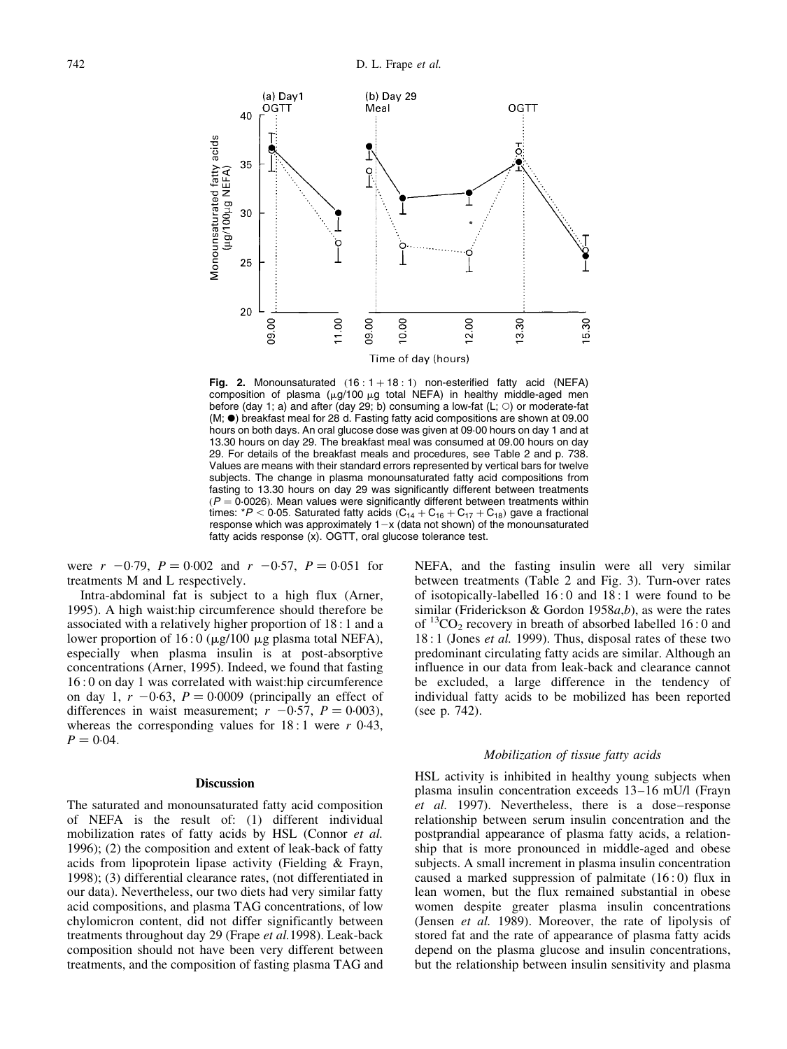<span id="page-5-0"></span>

Fig. 2. Monounsaturated  $(16 : 1 + 18 : 1)$  non-esterified fatty acid (NEFA) composition of plasma ( $\mu$ g/100  $\mu$ g total NEFA) in healthy middle-aged men before (day 1; a) and after (day 29; b) consuming a low-fat (L; O) or moderate-fat  $(M; \bullet)$  breakfast meal for 28 d. Fasting fatty acid compositions are shown at 09.00 hours on both days. An oral glucose dose was given at 09´00 hours on day 1 and at 13.30 hours on day 29. The breakfast meal was consumed at 09.00 hours on day 29. For details of the breakfast meals and procedures, se[e Table 2 a](#page-2-0)nd p. 738. Values are means with their standard errors represented by vertical bars for twelve subjects. The change in plasma monounsaturated fatty acid compositions from fasting to 13.30 hours on day 29 was significantly different between treatments  $(P = 0.0026)$ . Mean values were significantly different between treatments within times: \* $P < 0.05$ . Saturated fatty acids  $(C_{14} + C_{16} + C_{17} + C_{18})$  gave a fractional response which was approximately  $1-x$  (data not shown) of the monounsaturated fatty acids response (x). OGTT, oral glucose tolerance test.

were  $r \text{ } -0.79$ ,  $P = 0.002$  and  $r \text{ } -0.57$ ,  $P = 0.051$  for treatments M and L respectively.

Intra-abdominal fat is subject to a high flux (Arner, 1995). A high waist:hip circumference should therefore be associated with a relatively higher proportion of 18 : 1 and a lower proportion of  $16:0 \ (\mu g/100 \ \mu g \)$  plasma total NEFA), especially when plasma insulin is at post-absorptive concentrations (Arner, 1995). Indeed, we found that fasting 16 : 0 on day 1 was correlated with waist:hip circumference on day 1,  $r -0.63$ ,  $P = 0.0009$  (principally an effect of differences in waist measurement;  $r -0.57$ ,  $P = 0.003$ ), whereas the corresponding values for  $18:1$  were r 0.43,  $P = 0.04$ .

## Discussion

The saturated and monounsaturated fatty acid composition of NEFA is the result of: (1) different individual mobilization rates of fatty acids by HSL (Connor et al. 1996); (2) the composition and extent of leak-back of fatty acids from lipoprotein lipase activity (Fielding & Frayn, 1998); (3) differential clearance rates, (not differentiated in our data). Nevertheless, our two diets had very similar fatty acid compositions, and plasma TAG concentrations, of low chylomicron content, did not differ significantly between treatments throughout day 29 (Frape et al.1998). Leak-back composition should not have been very different between treatments, and the composition of fasting plasma TAG and

NEFA, and the fasting insulin were all very similar between treatments [\(Table 2](#page-2-0) and [Fig. 3\).](#page-6-0) Turn-over rates of isotopically-labelled 16 : 0 and 18 : 1 were found to be similar (Friderickson & Gordon 1958 $a,b$ ), as were the rates of  ${}^{13}CO_2$  recovery in breath of absorbed labelled 16:0 and 18 : 1 (Jones *et al.* 1999). Thus, disposal rates of these two predominant circulating fatty acids are similar. Although an influence in our data from leak-back and clearance cannot be excluded, a large difference in the tendency of individual fatty acids to be mobilized has been reported (see p. 742).

### Mobilization of tissue fatty acids

HSL activity is inhibited in healthy young subjects when plasma insulin concentration exceeds  $13-16$  mU/l (Frayn  $et$  al. 1997). Nevertheless, there is a dose-response relationship between serum insulin concentration and the postprandial appearance of plasma fatty acids, a relationship that is more pronounced in middle-aged and obese subjects. A small increment in plasma insulin concentration caused a marked suppression of palmitate (16 : 0) flux in lean women, but the flux remained substantial in obese women despite greater plasma insulin concentrations (Jensen et al. 1989). Moreover, the rate of lipolysis of stored fat and the rate of appearance of plasma fatty acids depend on the plasma glucose and insulin concentrations, but the relationship between insulin sensitivity and plasma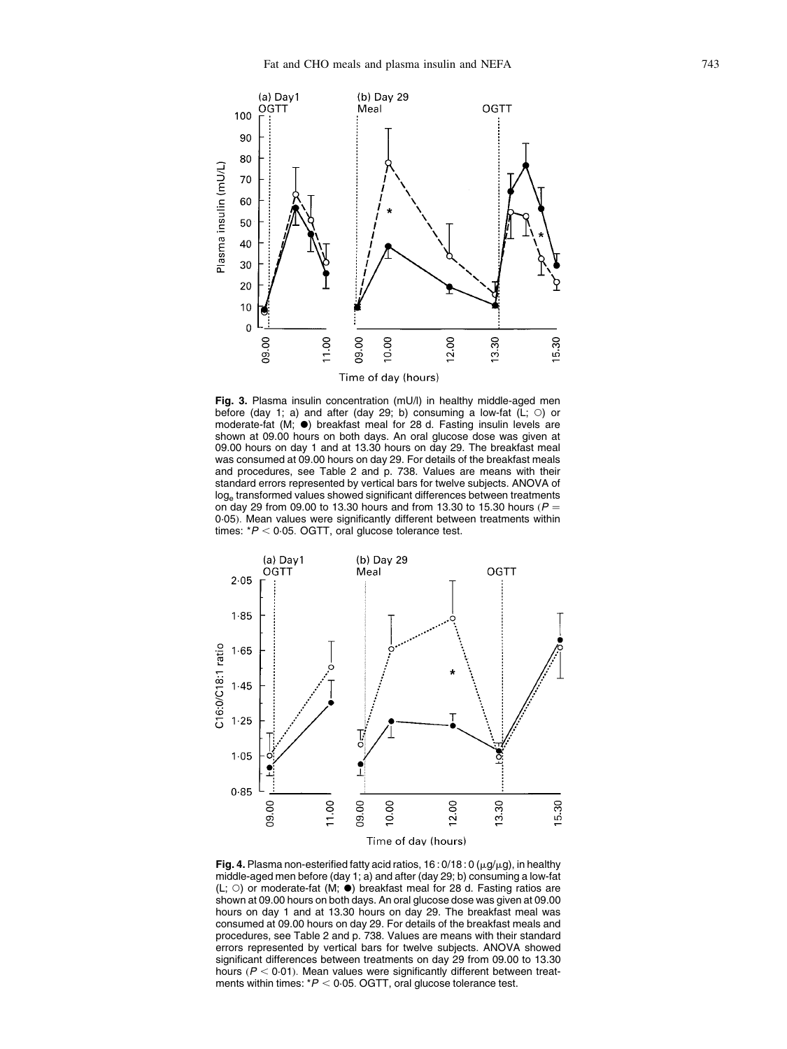<span id="page-6-0"></span>

Fig. 3. Plasma insulin concentration (mU/l) in healthy middle-aged men before (day 1; a) and after (day 29; b) consuming a low-fat  $(L; \circ)$  or moderate-fat (M;  $\bullet$ ) breakfast meal for 28 d. Fasting insulin levels are shown at 09.00 hours on both days. An oral glucose dose was given at 09.00 hours on day 1 and at 13.30 hours on day 29. The breakfast meal was consumed at 09.00 hours on day 29. For details of the breakfast meals and procedures, se[e Table 2 a](#page-2-0)nd p. 738. Values are means with their standard errors represented by vertical bars for twelve subjects. ANOVA of loge transformed values showed significant differences between treatments on day 29 from 09.00 to 13.30 hours and from 13.30 to 15.30 hours ( $P =$ 0.05). Mean values were significantly different between treatments within times:  $*P < 0.05$ . OGTT, oral glucose tolerance test.



Fig. 4. Plasma non-esterified fatty acid ratios,  $16:0/18:0(\mu g/\mu g)$ , in healthy middle-aged men before (day 1; a) and after (day 29; b) consuming a low-fat (L;  $\circ$ ) or moderate-fat (M;  $\bullet$ ) breakfast meal for 28 d. Fasting ratios are shown at 09.00 hours on both days. An oral glucose dose was given at 09.00 hours on day 1 and at 13.30 hours on day 29. The breakfast meal was consumed at 09.00 hours on day 29. For details of the breakfast meals and procedures, se[e Table 2 a](#page-2-0)nd p. 738. Values are means with their standard errors represented by vertical bars for twelve subjects. ANOVA showed significant differences between treatments on day 29 from 09.00 to 13.30 hours  $(P < 0.01)$ . Mean values were significantly different between treatments within times:  $*P < 0.05$ . OGTT, oral glucose tolerance test.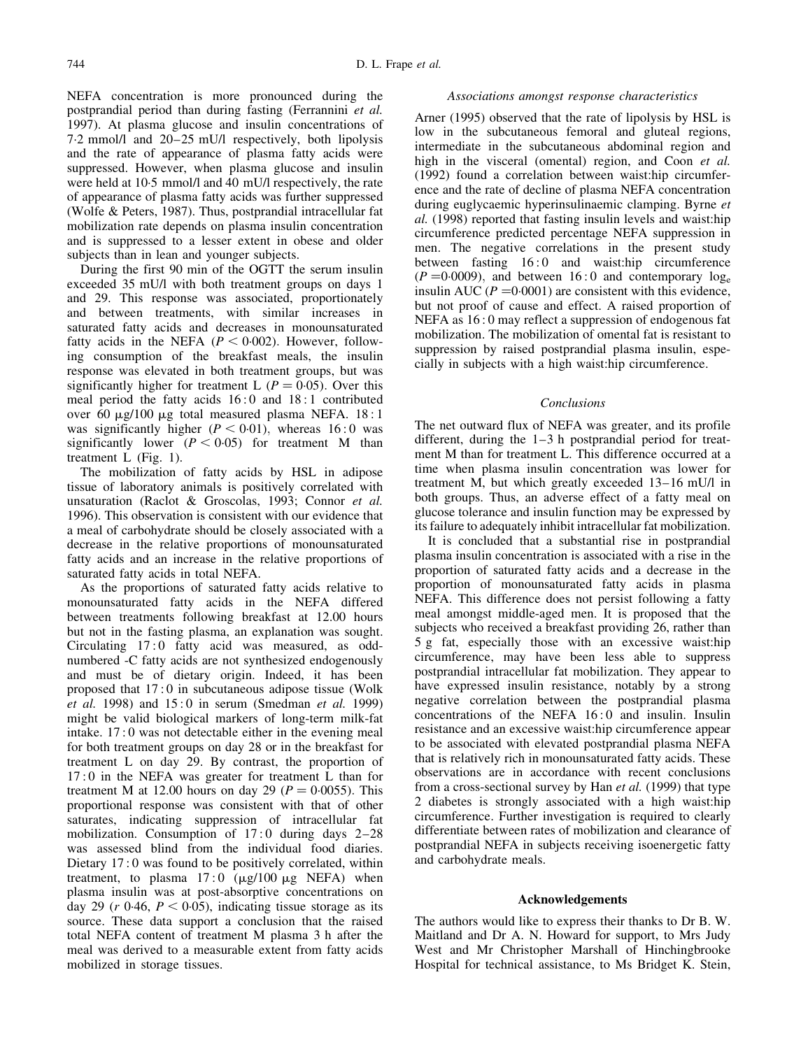NEFA concentration is more pronounced during the postprandial period than during fasting (Ferrannini et al. 1997). At plasma glucose and insulin concentrations of  $7.2$  mmol/l and  $20-25$  mU/l respectively, both lipolysis and the rate of appearance of plasma fatty acids were suppressed. However, when plasma glucose and insulin were held at 10.5 mmol/l and 40 mU/l respectively, the rate of appearance of plasma fatty acids was further suppressed (Wolfe & Peters, 1987). Thus, postprandial intracellular fat mobilization rate depends on plasma insulin concentration and is suppressed to a lesser extent in obese and older subjects than in lean and younger subjects.

During the first 90 min of the OGTT the serum insulin exceeded 35 mU/l with both treatment groups on days 1 and 29. This response was associated, proportionately and between treatments, with similar increases in saturated fatty acids and decreases in monounsaturated fatty acids in the NEFA ( $P < 0.002$ ). However, following consumption of the breakfast meals, the insulin response was elevated in both treatment groups, but was significantly higher for treatment L  $(P = 0.05)$ . Over this meal period the fatty acids 16 : 0 and 18 : 1 contributed over 60  $\mu$ g/100  $\mu$ g total measured plasma NEFA. 18:1 was significantly higher  $(P < 0.01)$ , whereas 16:0 was significantly lower  $(P < 0.05)$  for treatment M than treatment [L \(Fig. 1\).](#page-3-0)

The mobilization of fatty acids by HSL in adipose tissue of laboratory animals is positively correlated with unsaturation (Raclot & Groscolas, 1993; Connor et al. 1996). This observation is consistent with our evidence that a meal of carbohydrate should be closely associated with a decrease in the relative proportions of monounsaturated fatty acids and an increase in the relative proportions of saturated fatty acids in total NEFA.

As the proportions of saturated fatty acids relative to monounsaturated fatty acids in the NEFA differed between treatments following breakfast at 12.00 hours but not in the fasting plasma, an explanation was sought. Circulating 17:0 fatty acid was measured, as oddnumbered -C fatty acids are not synthesized endogenously and must be of dietary origin. Indeed, it has been proposed that 17 : 0 in subcutaneous adipose tissue (Wolk et al. 1998) and  $15:0$  in serum (Smedman et al. 1999) might be valid biological markers of long-term milk-fat intake. 17 : 0 was not detectable either in the evening meal for both treatment groups on day 28 or in the breakfast for treatment L on day 29. By contrast, the proportion of 17 : 0 in the NEFA was greater for treatment L than for treatment M at 12.00 hours on day 29 ( $P = 0.0055$ ). This proportional response was consistent with that of other saturates, indicating suppression of intracellular fat mobilization. Consumption of  $17:0$  during days  $2-28$ was assessed blind from the individual food diaries. Dietary 17:0 was found to be positively correlated, within treatment, to plasma  $17:0$  ( $\mu$ g/100  $\mu$ g NEFA) when plasma insulin was at post-absorptive concentrations on day 29 ( $r$  0 $\cdot$ 46,  $P < 0.05$ ), indicating tissue storage as its source. These data support a conclusion that the raised total NEFA content of treatment M plasma 3 h after the meal was derived to a measurable extent from fatty acids mobilized in storage tissues.

### Associations amongst response characteristics

Arner (1995) observed that the rate of lipolysis by HSL is low in the subcutaneous femoral and gluteal regions, intermediate in the subcutaneous abdominal region and high in the visceral (omental) region, and Coon et al. (1992) found a correlation between waist:hip circumference and the rate of decline of plasma NEFA concentration during euglycaemic hyperinsulinaemic clamping. Byrne et al. (1998) reported that fasting insulin levels and waist:hip circumference predicted percentage NEFA suppression in men. The negative correlations in the present study between fasting 16:0 and waist:hip circumference  $(P = 0.0009)$ , and between 16:0 and contemporary log<sub>e</sub> insulin AUC ( $P = 0.0001$ ) are consistent with this evidence, but not proof of cause and effect. A raised proportion of NEFA as 16 : 0 may reflect a suppression of endogenous fat mobilization. The mobilization of omental fat is resistant to suppression by raised postprandial plasma insulin, especially in subjects with a high waist:hip circumference.

### Conclusions

The net outward flux of NEFA was greater, and its profile different, during the  $1-3$  h postprandial period for treatment M than for treatment L. This difference occurred at a time when plasma insulin concentration was lower for treatment M, but which greatly exceeded  $13-16$  mU/l in both groups. Thus, an adverse effect of a fatty meal on glucose tolerance and insulin function may be expressed by its failure to adequately inhibit intracellular fat mobilization.

It is concluded that a substantial rise in postprandial plasma insulin concentration is associated with a rise in the proportion of saturated fatty acids and a decrease in the proportion of monounsaturated fatty acids in plasma NEFA. This difference does not persist following a fatty meal amongst middle-aged men. It is proposed that the subjects who received a breakfast providing 26, rather than 5 g fat, especially those with an excessive waist:hip circumference, may have been less able to suppress postprandial intracellular fat mobilization. They appear to have expressed insulin resistance, notably by a strong negative correlation between the postprandial plasma concentrations of the NEFA 16:0 and insulin. Insulin resistance and an excessive waist:hip circumference appear to be associated with elevated postprandial plasma NEFA that is relatively rich in monounsaturated fatty acids. These observations are in accordance with recent conclusions from a cross-sectional survey by Han et al. (1999) that type 2 diabetes is strongly associated with a high waist:hip circumference. Further investigation is required to clearly differentiate between rates of mobilization and clearance of postprandial NEFA in subjects receiving isoenergetic fatty and carbohydrate meals.

# Acknowledgements

The authors would like to express their thanks to Dr B. W. Maitland and Dr A. N. Howard for support, to Mrs Judy West and Mr Christopher Marshall of Hinchingbrooke Hospital for technical assistance, to Ms Bridget K. Stein,